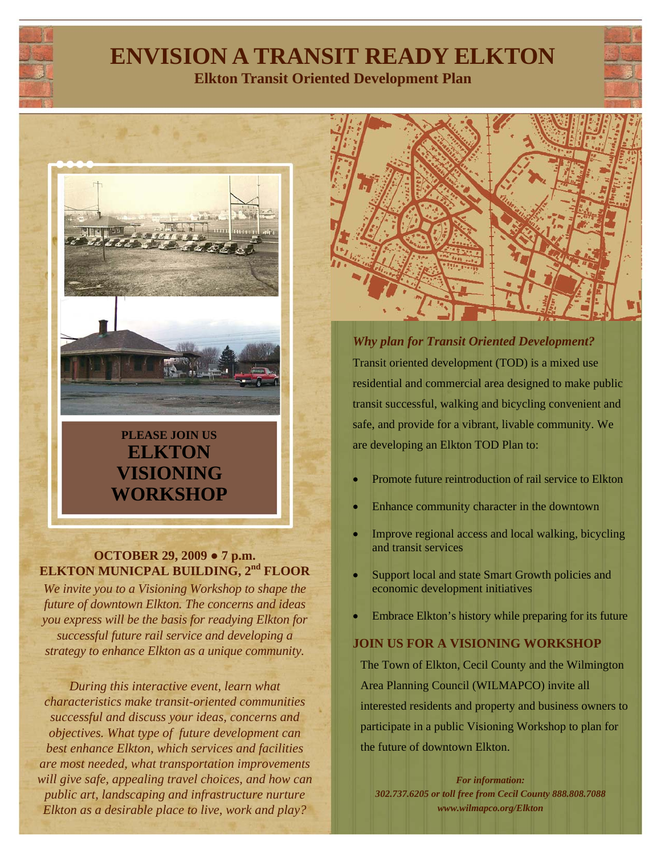

# **ENVISION A TRANSIT READY ELKTON**

**Elkton Transit Oriented Development Plan** 



## **ELKTON VISIONING WORKSHOP**

#### **OCTOBER 29, 2009 ● 7 p.m. ELKTON MUNICPAL BUILDING, 2nd FLOOR**

*We invite you to a Visioning Workshop to shape the future of downtown Elkton. The concerns and ideas you express will be the basis for readying Elkton for successful future rail service and developing a strategy to enhance Elkton as a unique community.* 

*During this interactive event, learn what characteristics make transit-oriented communities successful and discuss your ideas, concerns and objectives. What type of future development can best enhance Elkton, which services and facilities are most needed, what transportation improvements will give safe, appealing travel choices, and how can public art, landscaping and infrastructure nurture Elkton as a desirable place to live, work and play?* 

*Why plan for Transit Oriented Development?* Transit oriented development (TOD) is a mixed use residential and commercial area designed to make public transit successful, walking and bicycling convenient and safe, and provide for a vibrant, livable community. We are developing an Elkton TOD Plan to:

- Promote future reintroduction of rail service to Elkton
- Enhance community character in the downtown
- Improve regional access and local walking, bicycling and transit services
- Support local and state Smart Growth policies and economic development initiatives
- Embrace Elkton's history while preparing for its future

### **JOIN US FOR A VISIONING WORKSHOP**

The Town of Elkton, Cecil County and the Wilmington Area Planning Council (WILMAPCO) invite all interested residents and property and business owners to participate in a public Visioning Workshop to plan for the future of downtown Elkton.

*For information: 302.737.6205 or toll free from Cecil County 888.808.7088 www.wilmapco.org/Elkton*